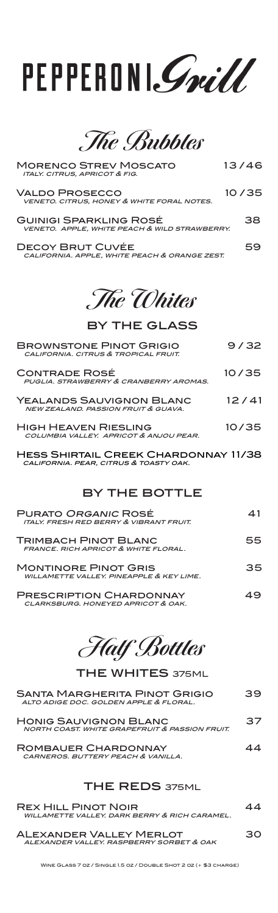# PEPPERONI. Smill

**The Bubbles**

| <b>MORENCO STREV MOSCATO</b><br><b>ITALY. CITRUS, APRICOT &amp; FIG.</b>       | 13/46 |
|--------------------------------------------------------------------------------|-------|
| <b>VALDO PROSECCO</b><br><b>VENETO. CITRUS, HONEY &amp; WHITE FORAL NOTES.</b> | 10/35 |
| <b>GUINIGI SPARKLING ROSÉ</b><br>VENETO. APPLE, WHITE PEACH & WILD STRAWBERRY. | 38    |
| <b>DECOY BRUT CUVÉE</b><br>CALIFORNIA, APPLE, WHITE PEACH & ORANGE ZEST.       |       |

#### **The Whites**

by the glass

| <b>BROWNSTONE PINOT GRIGIO</b><br>CALIFORNIA. CITRUS & TROPICAL FRUIT.                    | 9/32  |
|-------------------------------------------------------------------------------------------|-------|
| CONTRADE ROSÉ<br>PUGLIA. STRAWBERRY & CRANBERRY AROMAS.                                   | 10/35 |
| YEALANDS SAUVIGNON BLANC<br><b>NEW ZEALAND. PASSION FRUIT &amp; GUAVA.</b>                | 12/41 |
| HIGH HEAVEN RIESLING<br>COLUMBIA VALLEY. APRICOT & ANJOU PEAR.                            | 10/35 |
| HESS SHIRTAIL CREEK CHARDONNAY 11/38<br>CALIFORNIA, PEAR, CITRUS & TOASTY OAK.            |       |
| BY THE BOTTLE                                                                             |       |
| <b>PURATO ORGANIC ROSÉ</b><br><b>ITALY. FRESH RED BERRY &amp; VIBRANT FRUIT.</b>          | 41    |
| <b>TRIMBACH PINOT BLANC</b><br>FRANCE, RICH APRICOT & WHITE FLORAL.                       | 55    |
| <b>MONTINORE PINOT GRIS</b><br>WILLAMETTE VALLEY. PINEAPPLE & KEY LIME.                   | 35    |
| <b>PRESCRIPTION CHARDONNAY</b><br>CLARKSBURG. HONEYED APRICOT & OAK.                      | 49    |
| <b>Half Bottles</b>                                                                       |       |
| <b>THE WHITES 375ML</b>                                                                   |       |
| SANTA MARGHERITA PINOT GRIGIO<br>ALTO ADIGE DOC. GOLDEN APPLE & FLORAL.                   | 39    |
| <b>HONIG SAUVIGNON BLANC</b><br><b>NORTH COAST. WHITE GRAPEFRUIT &amp; PASSION FRUIT.</b> | 37    |
| ROMBAUER CHARDONNAY<br>CARNEROS. BUTTERY PEACH & VANILLA.                                 | 44    |
| <b>THE REDS 375ML</b>                                                                     |       |
| <b>REX HILL PINOT NOIR</b><br>WILLAMETTE VALLEY. DARK BERRY & RICH CARAMEL.               | 44    |
| ALEXANDER VALLEY MERLOT<br>ALEXANDER VALLEY. RASPBERRY SORBET & OAK                       | 30    |

Wine Glass 7 oz / Single 1.5 oz / Double Shot 2 oz (+ \$3 charge)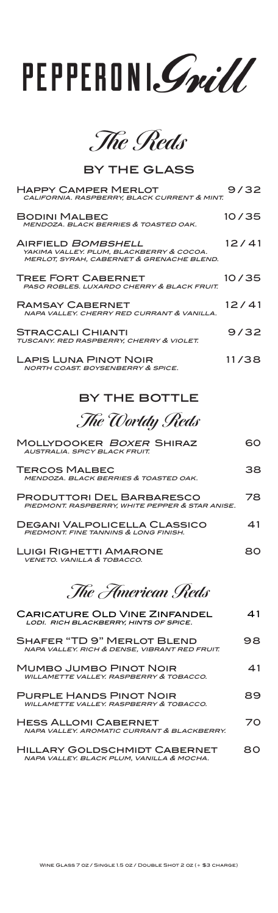# PEPPERONI. Smill

**The Reds**

by the glass

| <b>HAPPY CAMPER MERLOT</b><br>CALIFORNIA. RASPBERRY, BLACK CURRENT & MINT.                                         | 9/32  |
|--------------------------------------------------------------------------------------------------------------------|-------|
| <b>BODINI MALBEC</b><br><b>MENDOZA, BLACK BERRIES &amp; TOASTED OAK.</b>                                           | 10/35 |
| AIRFIELD <i>BOMBSHELL</i><br>YAKIMA VALLEY. PLUM, BLACKBERRY & COCOA.<br>MERLOT, SYRAH, CABERNET & GRENACHE BLEND. | 12/41 |
| <b>TREE FORT CABERNET</b><br><b>PASO ROBLES, LUXARDO CHERRY &amp; BLACK FRUIT.</b>                                 | 10/35 |
| RAMSAY CABERNET<br>NAPA VALLEY, CHERRY RED CURRANT & VANILLA.                                                      | 12/41 |
| <b>STRACCALI CHIANTI</b><br>TUSCANY. RED RASPBERRY, CHERRY & VIOLET.                                               | 9/32  |
| <b>LAPIS LUNA PINOT NOIR</b><br><b>NORTH COAST. BOYSENBERRY &amp; SPICE.</b>                                       | 11/38 |

#### by the bottle

#### **The Worldy Reds**

| MOLLYDOOKER <i>BOXER</i> SHIRAZ<br>AUSTRALIA, SPICY BLACK FRUIT                     |     |
|-------------------------------------------------------------------------------------|-----|
| TERCOS MALBEC<br><b>MENDOZA, BLACK BERRIES &amp; TOASTED OAK.</b>                   | 38  |
| <b>PRODUTTORI DEL BARBARESCO</b><br>PIEDMONT, RASPBERRY, WHITE PEPPER & STAR ANISE. | 78  |
| DEGANI VALPOLICELLA CLASSICO<br>PIEDMONT, FINE TANNINS & LONG FINISH.               | ⊿ 1 |
| <b>LUIGI RIGHETTI AMARONE</b><br><b>VENETO, VANILLA &amp; TOBACCO.</b>              | RN  |
|                                                                                     |     |

**The American Reds** 

| <b>CARICATURE OLD VINE ZINFANDEL</b><br>LODI. RICH BLACKBERRY, HINTS OF SPICE.      | 41 |
|-------------------------------------------------------------------------------------|----|
| <b>SHAFER "TD 9" MERLOT BLEND</b><br>NAPA VALLEY. RICH & DENSE, VIBRANT RED FRUIT.  | 98 |
| <b>MUMBO JUMBO PINOT NOIR</b><br><b>WILLAMETTE VALLEY, RASPBERRY &amp; TOBACCO.</b> | 41 |
| <b>PURPLE HANDS PINOT NOIR</b><br>WILLAMETTE VALLEY, RASPBERRY & TOBACCO.           | 89 |
| <b>HESS ALLOMI CABERNET</b><br>NAPA VALLEY, AROMATIC CURRANT & BLACKBERRY.          | 70 |
| <b>HILLARY GOLDSCHMIDT CABERNET</b><br>NAPA VALLEY. BLACK PLUM, VANILLA & MOCHA.    | 80 |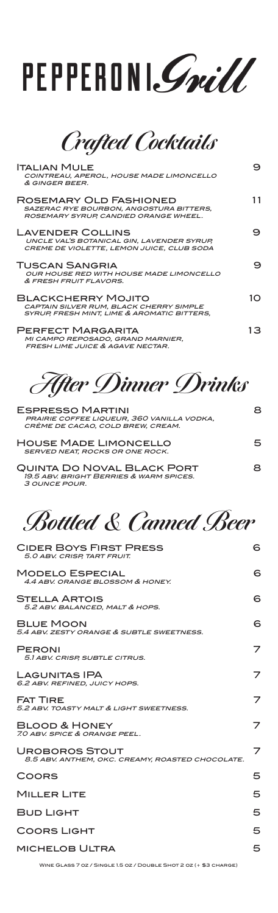## PEPPERONI. Grill

**Crafted Cocktails**

| <b>ITALIAN MULE</b><br>COINTREAU, APEROL, HOUSE MADE LIMONCELLO<br>& GINGER BEER.                                   | 9  |
|---------------------------------------------------------------------------------------------------------------------|----|
| ROSEMARY OLD FASHIONED<br>SAZERAC RYE BOURBON, ANGOSTURA BITTERS,<br>ROSEMARY SYRUP, CANDIED ORANGE WHEEL.          | 11 |
| LAVENDER COLLINS<br>UNCLE VAL'S BOTANICAL GIN, LAVENDER SYRUP,<br>CREME DE VIOLETTE, LEMON JUICE, CLUB SODA         | 9  |
| TUSCAN SANGRIA<br><b>OUR HOUSE RED WITH HOUSE MADE LIMONCELLO</b><br><b>&amp; FRESH FRUIT FLAVORS.</b>              | 9  |
| <b>BLACKCHERRY MOJITO</b><br>CAPTAIN SILVER RUM, BLACK CHERRY SIMPLE<br>SYRUP, FRESH MINT, LIME & AROMATIC BITTERS. | 10 |
| <b>PERFECT MARGARITA</b><br>MI CAMPO REPOSADO, GRAND MARNIER,<br><i>FRESH LIME JUICE &amp; AGAVE NECTAR.</i>        | 13 |

**After Dinner Drinks**

| <b>ESPRESSO MARTINI</b><br>PRAIRIE COFFEE LIQUEUR, 360 VANILLA VODKA,<br>CRÈME DE CACAO, COLD BREW, CREAM. | 8 |
|------------------------------------------------------------------------------------------------------------|---|
| <b>HOUSE MADE LIMONCELLO</b><br>SERVED NEAT. ROCKS OR ONE ROCK.                                            | 5 |
| <b>QUINTA DO NOVAL BLACK PORT</b><br>19.5 ABV, BRIGHT BERRIES & WARM SPICES.                               | 8 |

### **Bottled & Canned Beer**

3 ounce pour.

| <b>CIDER BOYS FIRST PRESS</b><br>5.0 ABV. CRISP, TART FRUIT.              | 6 |
|---------------------------------------------------------------------------|---|
| <b>MODELO ESPECIAL</b><br>4.4 ABV, ORANGE BLOSSOM & HONEY.                | ൳ |
| <b>STELLA ARTOIS</b><br>5.2 ABV. BALANCED, MALT & HOPS.                   | ൳ |
| <b>BLUE MOON</b><br>5.4 ABV. ZESTY ORANGE & SUBTLE SWEETNESS.             | ൳ |
| <b>PERONI</b><br>5.1 ABV. CRISP, SUBTLE CITRUS.                           | 7 |
| <b>LAGUNITAS IPA</b><br>6.2 ABV. REFINED, JUICY HOPS.                     |   |
| <b>FAT TIRE</b><br>5.2 ABV, TOASTY MALT & LIGHT SWEETNESS.                |   |
| <b>BLOOD &amp; HONEY</b><br>7.0 ABV. SPICE & ORANGE PEEL.                 |   |
| <b>UROBOROS STOUT</b><br>8.5 ABV. ANTHEM, OKC. CREAMY, ROASTED CHOCOLATE. | 7 |
| COORS                                                                     | 5 |
| <b>MILLER LITE</b>                                                        | 5 |
| <b>BUD LIGHT</b>                                                          | 5 |
| <b>COORS LIGHT</b>                                                        | 5 |
| MICHELOB ULTRA                                                            | 5 |
| WINE GLASS 7 OZ / SINGLE 1.5 OZ / DOUBLE SHOT 2 OZ (+ \$3 CHARGE)         |   |